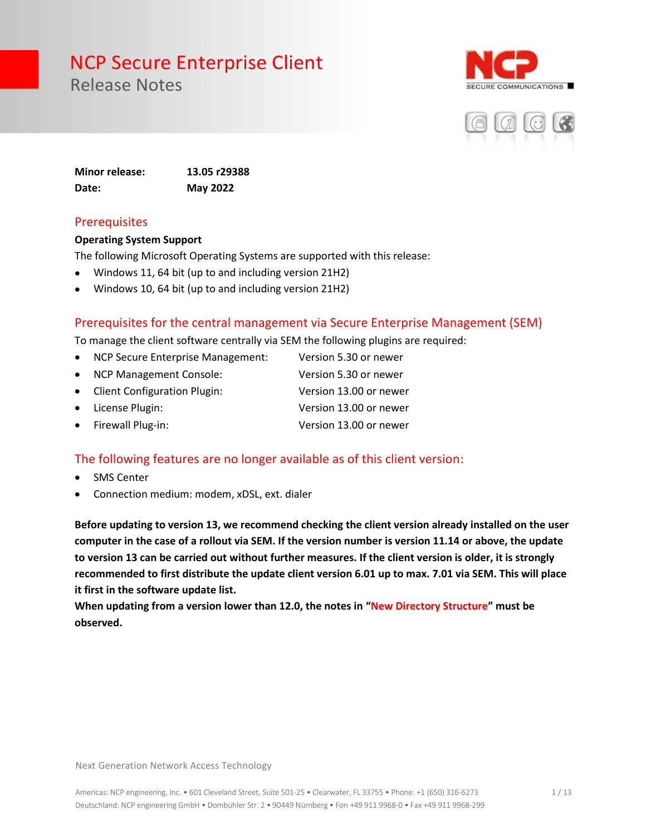Release Notes





**Minor release: 13.05 r29388 Date: May 2022**

#### **Prerequisites**

#### **Operating System Support**

The following Microsoft Operating Systems are supported with this release:

- Windows 11, 64 bit (up to and including version 21H2)
- Windows 10, 64 bit (up to and including version 21H2)

#### Prerequisites for the central management via Secure Enterprise Management (SEM)

To manage the client software centrally via SEM the following plugins are required:

- NCP Secure Enterprise Management: Version 5.30 or newer
- NCP Management Console: Version 5.30 or newer
- Client Configuration Plugin: Version 13.00 or newer
- License Plugin: Version 13.00 or newer
- Firewall Plug-in: Version 13.00 or newer

#### The following features are no longer available as of this client version:

- SMS Center
- Connection medium: modem, xDSL, ext. dialer

**Before updating to version 13, we recommend checking the client version already installed on the user computer in the case of a rollout via SEM. If the version number is version 11.14 or above, the update to version 13 can be carried out without further measures. If the client version is older, it is strongly recommended to first distribute the update client version 6.01 up to max. 7.01 via SEM. This will place it first in the software update list.** 

**When updating from a version lower than 12.0, the notes in "New Directory Structure" must be observed.**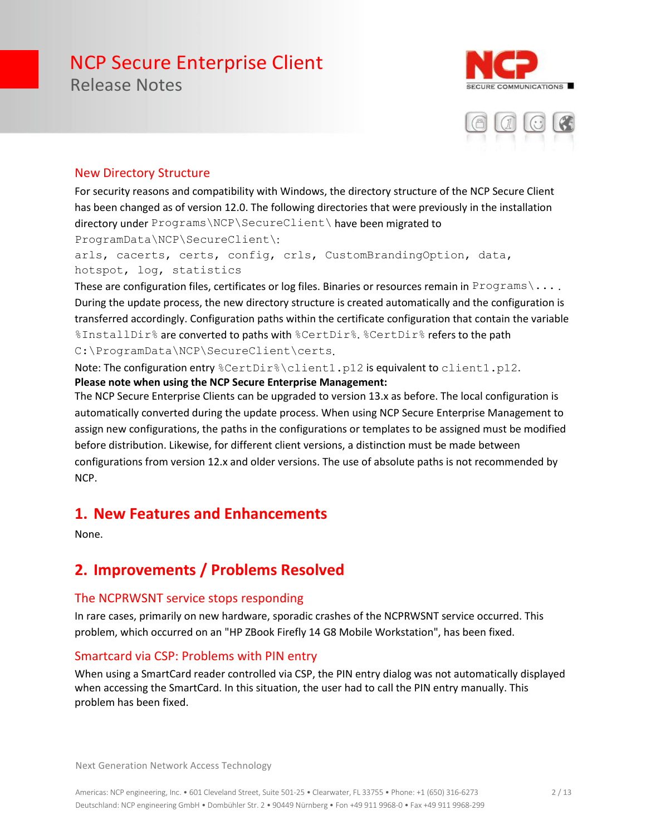Release Notes





#### New Directory Structure

For security reasons and compatibility with Windows, the directory structure of the NCP Secure Client has been changed as of version 12.0. The following directories that were previously in the installation directory under Programs\NCP\SecureClient\ have been migrated to ProgramData\NCP\SecureClient\:

arls, cacerts, certs, config, crls, CustomBrandingOption, data, hotspot, log, statistics

These are configuration files, certificates or log files. Binaries or resources remain in Programs \... During the update process, the new directory structure is created automatically and the configuration is transferred accordingly. Configuration paths within the certificate configuration that contain the variable %InstallDir% are converted to paths with %CertDir%. %CertDir% refers to the path C:\ProgramData\NCP\SecureClient\certs.

Note: The configuration entry %CertDir%\client1.p12 is equivalent to client1.p12. **Please note when using the NCP Secure Enterprise Management:**

The NCP Secure Enterprise Clients can be upgraded to version 13.x as before. The local configuration is automatically converted during the update process. When using NCP Secure Enterprise Management to assign new configurations, the paths in the configurations or templates to be assigned must be modified before distribution. Likewise, for different client versions, a distinction must be made between configurations from version 12.x and older versions. The use of absolute paths is not recommended by NCP.

#### **1. New Features and Enhancements**

None.

### **2. Improvements / Problems Resolved**

#### The NCPRWSNT service stops responding

In rare cases, primarily on new hardware, sporadic crashes of the NCPRWSNT service occurred. This problem, which occurred on an "HP ZBook Firefly 14 G8 Mobile Workstation", has been fixed.

#### Smartcard via CSP: Problems with PIN entry

When using a SmartCard reader controlled via CSP, the PIN entry dialog was not automatically displayed when accessing the SmartCard. In this situation, the user had to call the PIN entry manually. This problem has been fixed.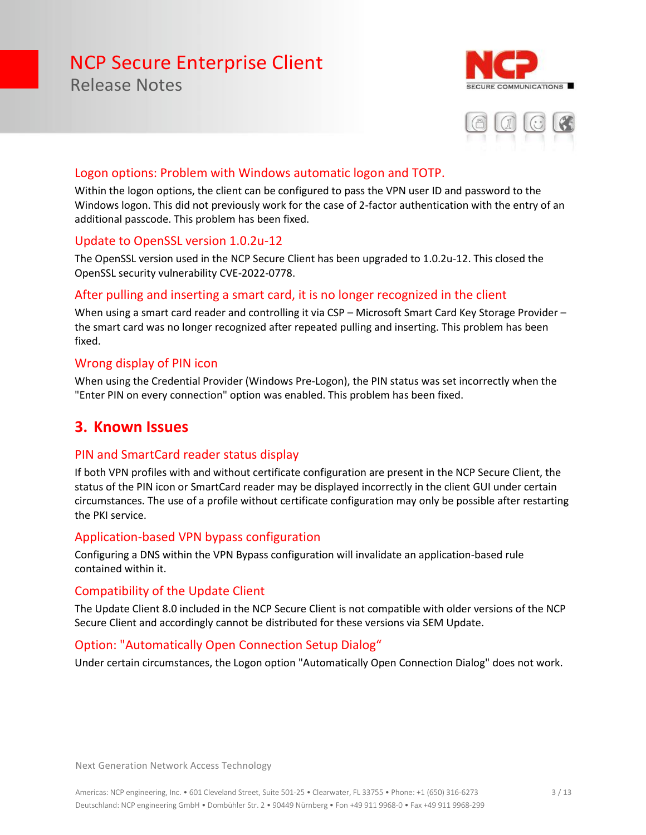

Release Notes



#### Logon options: Problem with Windows automatic logon and TOTP.

Within the logon options, the client can be configured to pass the VPN user ID and password to the Windows logon. This did not previously work for the case of 2-factor authentication with the entry of an additional passcode. This problem has been fixed.

#### Update to OpenSSL version 1.0.2u-12

The OpenSSL version used in the NCP Secure Client has been upgraded to 1.0.2u-12. This closed the OpenSSL security vulnerability CVE-2022-0778.

#### After pulling and inserting a smart card, it is no longer recognized in the client

When using a smart card reader and controlling it via CSP - Microsoft Smart Card Key Storage Provider the smart card was no longer recognized after repeated pulling and inserting. This problem has been fixed.

#### Wrong display of PIN icon

When using the Credential Provider (Windows Pre-Logon), the PIN status was set incorrectly when the "Enter PIN on every connection" option was enabled. This problem has been fixed.

#### **3. Known Issues**

#### PIN and SmartCard reader status display

If both VPN profiles with and without certificate configuration are present in the NCP Secure Client, the status of the PIN icon or SmartCard reader may be displayed incorrectly in the client GUI under certain circumstances. The use of a profile without certificate configuration may only be possible after restarting the PKI service.

#### Application-based VPN bypass configuration

Configuring a DNS within the VPN Bypass configuration will invalidate an application-based rule contained within it.

#### Compatibility of the Update Client

The Update Client 8.0 included in the NCP Secure Client is not compatible with older versions of the NCP Secure Client and accordingly cannot be distributed for these versions via SEM Update.

#### Option: "Automatically Open Connection Setup Dialog"

Under certain circumstances, the Logon option "Automatically Open Connection Dialog" does not work.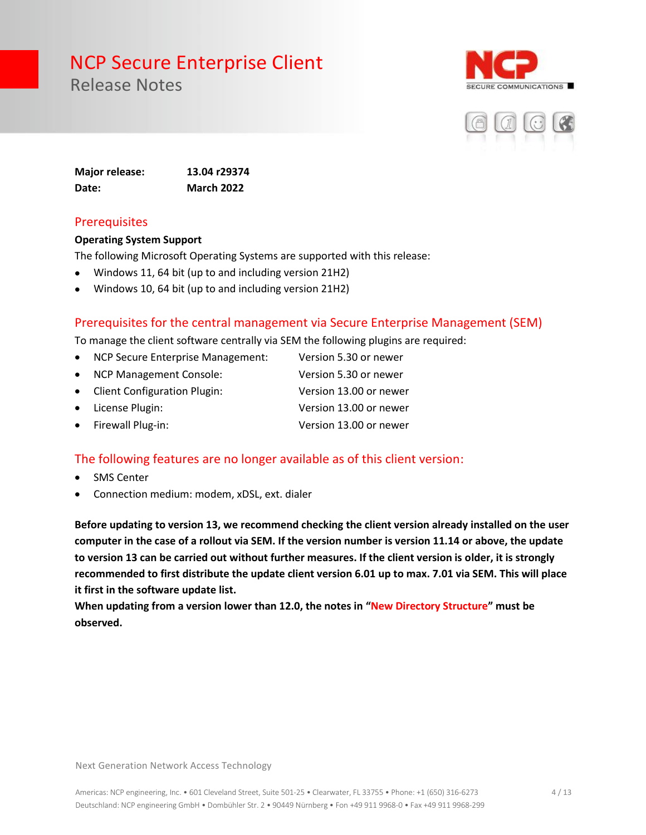Release Notes





**Major release: 13.04 r29374 Date: March 2022**

#### **Prerequisites**

#### **Operating System Support**

The following Microsoft Operating Systems are supported with this release:

- Windows 11, 64 bit (up to and including version 21H2)
- Windows 10, 64 bit (up to and including version 21H2)

#### Prerequisites for the central management via Secure Enterprise Management (SEM)

To manage the client software centrally via SEM the following plugins are required:

- NCP Secure Enterprise Management: Version 5.30 or newer
- NCP Management Console: Version 5.30 or newer
- Client Configuration Plugin: Version 13.00 or newer
- License Plugin: Version 13.00 or newer
	- Firewall Plug-in: Version 13.00 or newer

#### The following features are no longer available as of this client version:

- **SMS Center**
- Connection medium: modem, xDSL, ext. dialer

**Before updating to version 13, we recommend checking the client version already installed on the user computer in the case of a rollout via SEM. If the version number is version 11.14 or above, the update to version 13 can be carried out without further measures. If the client version is older, it is strongly recommended to first distribute the update client version 6.01 up to max. 7.01 via SEM. This will place it first in the software update list.** 

**When updating from a version lower than 12.0, the notes in "New Directory Structure" must be observed.**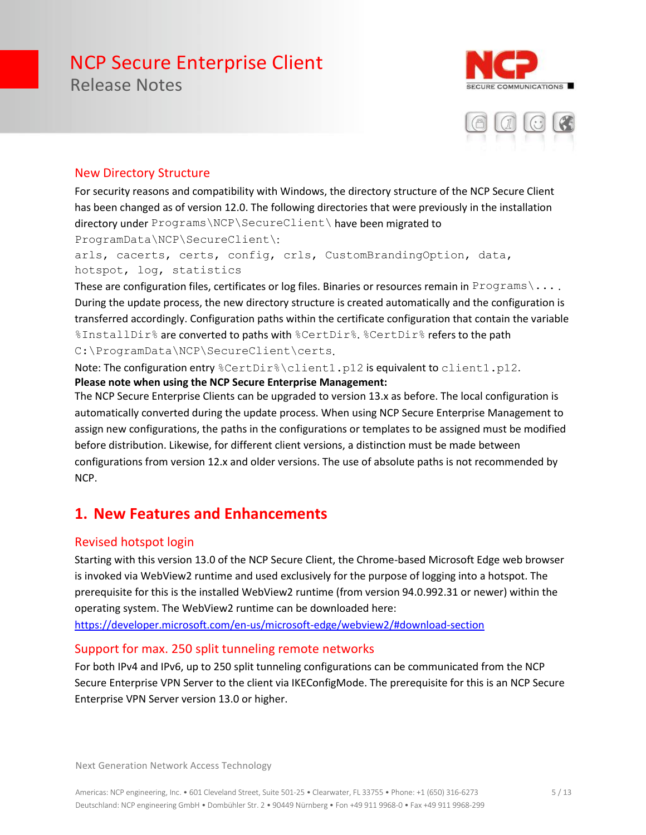Release Notes





#### New Directory Structure

For security reasons and compatibility with Windows, the directory structure of the NCP Secure Client has been changed as of version 12.0. The following directories that were previously in the installation directory under Programs\NCP\SecureClient\ have been migrated to ProgramData\NCP\SecureClient\:

arls, cacerts, certs, config, crls, CustomBrandingOption, data, hotspot, log, statistics

These are configuration files, certificates or log files. Binaries or resources remain in Programs \... During the update process, the new directory structure is created automatically and the configuration is transferred accordingly. Configuration paths within the certificate configuration that contain the variable %InstallDir% are converted to paths with %CertDir%. %CertDir% refers to the path C:\ProgramData\NCP\SecureClient\certs.

Note: The configuration entry %CertDir%\client1.p12 is equivalent to client1.p12. **Please note when using the NCP Secure Enterprise Management:**

The NCP Secure Enterprise Clients can be upgraded to version 13.x as before. The local configuration is automatically converted during the update process. When using NCP Secure Enterprise Management to assign new configurations, the paths in the configurations or templates to be assigned must be modified before distribution. Likewise, for different client versions, a distinction must be made between configurations from version 12.x and older versions. The use of absolute paths is not recommended by NCP.

### **1. New Features and Enhancements**

#### Revised hotspot login

Starting with this version 13.0 of the NCP Secure Client, the Chrome-based Microsoft Edge web browser is invoked via WebView2 runtime and used exclusively for the purpose of logging into a hotspot. The prerequisite for this is the installed WebView2 runtime (from version 94.0.992.31 or newer) within the operating system. The WebView2 runtime can be downloaded here:

<https://developer.microsoft.com/en-us/microsoft-edge/webview2/#download-section>

#### Support for max. 250 split tunneling remote networks

For both IPv4 and IPv6, up to 250 split tunneling configurations can be communicated from the NCP Secure Enterprise VPN Server to the client via IKEConfigMode. The prerequisite for this is an NCP Secure Enterprise VPN Server version 13.0 or higher.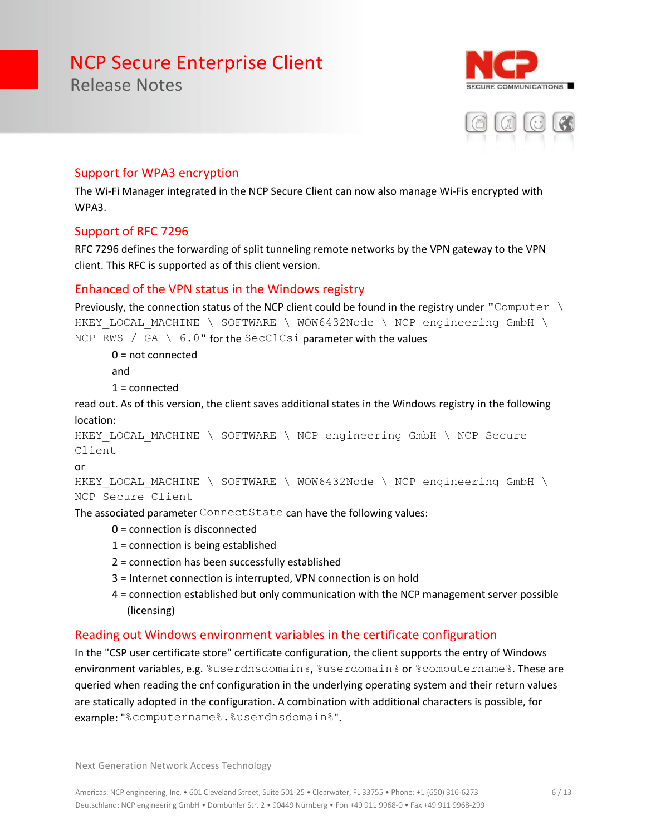E COMMUNICATIONS



#### Support for WPA3 encryption

The Wi-Fi Manager integrated in the NCP Secure Client can now also manage Wi-Fis encrypted with WPA3.

#### Support of RFC 7296

Release Notes

RFC 7296 defines the forwarding of split tunneling remote networks by the VPN gateway to the VPN client. This RFC is supported as of this client version.

#### Enhanced of the VPN status in the Windows registry

```
Previously, the connection status of the NCP client could be found in the registry under "Computer \
HKEY LOCAL MACHINE \ SOFTWARE \ WOW6432Node \ NCP engineering GmbH \
NCP RWS / GA \setminus 6.0" for the SecClCsi parameter with the values
```
0 = not connected

and

1 = connected

read out. As of this version, the client saves additional states in the Windows registry in the following location:

```
HKEY LOCAL MACHINE \ SOFTWARE \ NCP engineering GmbH \ NCP Secure
Client
```
or

```
HKEY LOCAL MACHINE \ SOFTWARE \ WOW6432Node \ NCP engineering GmbH \
NCP Secure Client
```
The associated parameter ConnectState can have the following values:

- 0 = connection is disconnected
- 1 = connection is being established
- 2 = connection has been successfully established
- 3 = Internet connection is interrupted, VPN connection is on hold
- 4 = connection established but only communication with the NCP management server possible (licensing)

#### Reading out Windows environment variables in the certificate configuration

In the "CSP user certificate store" certificate configuration, the client supports the entry of Windows environment variables, e.g. %userdnsdomain%, %userdomain% or %computername%. These are queried when reading the cnf configuration in the underlying operating system and their return values are statically adopted in the configuration. A combination with additional characters is possible, for example: "%computername%.%userdnsdomain%".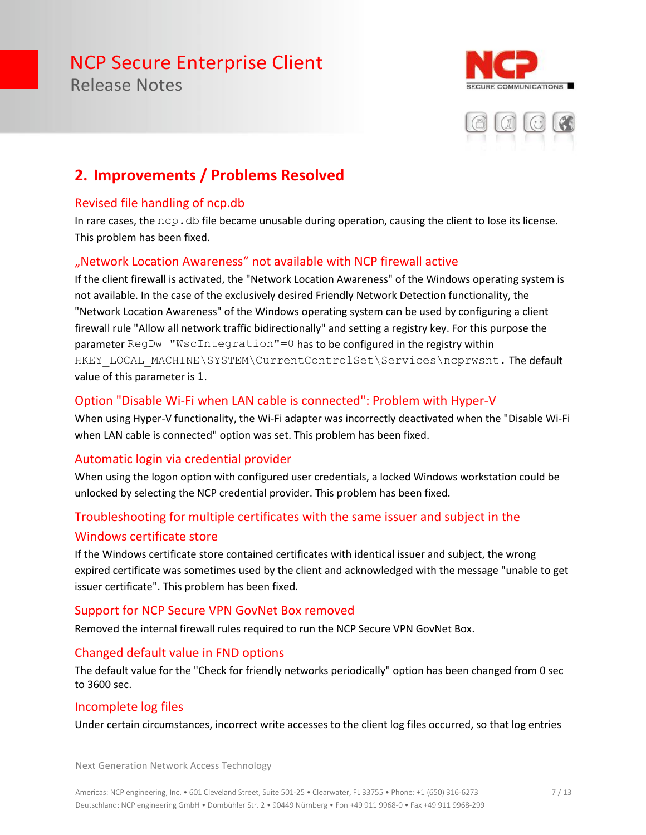Release Notes





### **2. Improvements / Problems Resolved**

#### Revised file handling of ncp.db

In rare cases, the  $ncp$ .  $db$  file became unusable during operation, causing the client to lose its license. This problem has been fixed.

#### "Network Location Awareness" not available with NCP firewall active

If the client firewall is activated, the "Network Location Awareness" of the Windows operating system is not available. In the case of the exclusively desired Friendly Network Detection functionality, the "Network Location Awareness" of the Windows operating system can be used by configuring a client firewall rule "Allow all network traffic bidirectionally" and setting a registry key. For this purpose the parameter RegDw "WscIntegration"=0 has to be configured in the registry within HKEY\_LOCAL\_MACHINE\SYSTEM\CurrentControlSet\Services\ncprwsnt. The default value of this parameter is 1.

#### Option "Disable Wi-Fi when LAN cable is connected": Problem with Hyper-V

When using Hyper-V functionality, the Wi-Fi adapter was incorrectly deactivated when the "Disable Wi-Fi when LAN cable is connected" option was set. This problem has been fixed.

#### Automatic login via credential provider

When using the logon option with configured user credentials, a locked Windows workstation could be unlocked by selecting the NCP credential provider. This problem has been fixed.

#### Troubleshooting for multiple certificates with the same issuer and subject in the Windows certificate store

If the Windows certificate store contained certificates with identical issuer and subject, the wrong expired certificate was sometimes used by the client and acknowledged with the message "unable to get issuer certificate". This problem has been fixed.

#### Support for NCP Secure VPN GovNet Box removed

Removed the internal firewall rules required to run the NCP Secure VPN GovNet Box.

#### Changed default value in FND options

The default value for the "Check for friendly networks periodically" option has been changed from 0 sec to 3600 sec.

#### Incomplete log files

Under certain circumstances, incorrect write accesses to the client log files occurred, so that log entries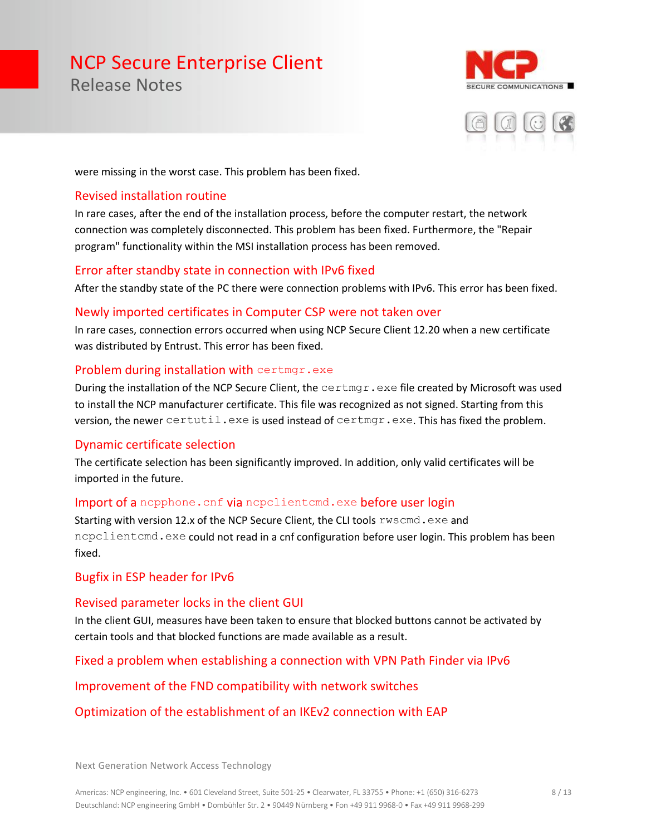Release Notes





were missing in the worst case. This problem has been fixed.

#### Revised installation routine

In rare cases, after the end of the installation process, before the computer restart, the network connection was completely disconnected. This problem has been fixed. Furthermore, the "Repair program" functionality within the MSI installation process has been removed.

#### Error after standby state in connection with IPv6 fixed

After the standby state of the PC there were connection problems with IPv6. This error has been fixed.

#### Newly imported certificates in Computer CSP were not taken over

In rare cases, connection errors occurred when using NCP Secure Client 12.20 when a new certificate was distributed by Entrust. This error has been fixed.

#### Problem during installation with certmgr.exe

During the installation of the NCP Secure Client, the certmgr.exe file created by Microsoft was used to install the NCP manufacturer certificate. This file was recognized as not signed. Starting from this version, the newer certutil.exe is used instead of certmgr.exe. This has fixed the problem.

#### Dynamic certificate selection

The certificate selection has been significantly improved. In addition, only valid certificates will be imported in the future.

#### Import of a nepphone. cnf via nepelientemd.exe before user login

Starting with version 12.x of the NCP Secure Client, the CLI tools rwscmd.exe and ncpclientcmd.exe could not read in a cnf configuration before user login. This problem has been fixed.

#### Bugfix in ESP header for IPv6

#### Revised parameter locks in the client GUI

In the client GUI, measures have been taken to ensure that blocked buttons cannot be activated by certain tools and that blocked functions are made available as a result.

#### Fixed a problem when establishing a connection with VPN Path Finder via IPv6

#### Improvement of the FND compatibility with network switches

#### Optimization of the establishment of an IKEv2 connection with EAP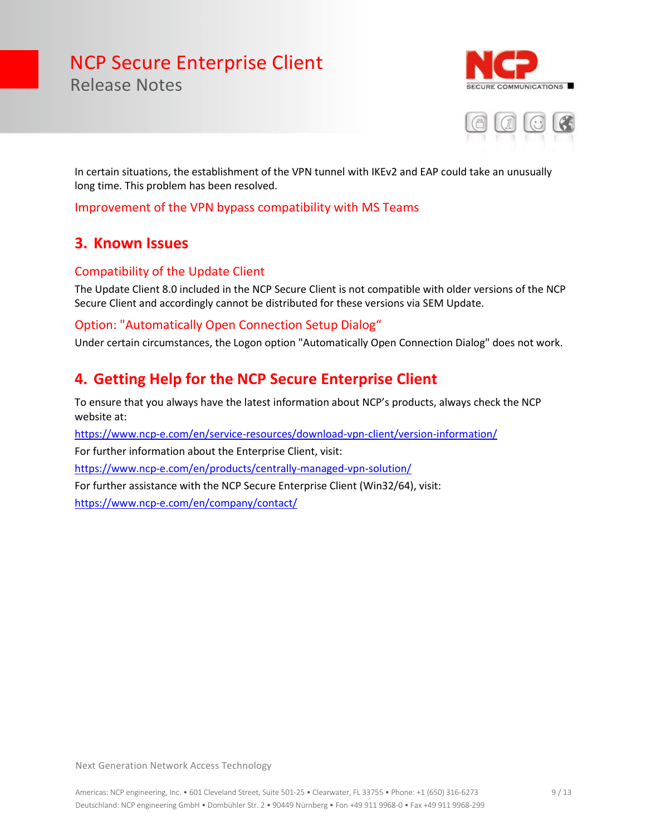URE COMMUNICATIONS



In certain situations, the establishment of the VPN tunnel with IKEv2 and EAP could take an unusually long time. This problem has been resolved.

Improvement of the VPN bypass compatibility with MS Teams

#### **3. Known Issues**

Release Notes

#### Compatibility of the Update Client

The Update Client 8.0 included in the NCP Secure Client is not compatible with older versions of the NCP Secure Client and accordingly cannot be distributed for these versions via SEM Update.

#### Option: "Automatically Open Connection Setup Dialog"

Under certain circumstances, the Logon option "Automatically Open Connection Dialog" does not work.

#### **4. Getting Help for the NCP Secure Enterprise Client**

To ensure that you always have the latest information about NCP's products, always check the NCP website at:

<https://www.ncp-e.com/en/service-resources/download-vpn-client/version-information/>

For further information about the Enterprise Client, visit:

<https://www.ncp-e.com/en/products/centrally-managed-vpn-solution/>

For further assistance with the NCP Secure Enterprise Client (Win32/64), visit:

<https://www.ncp-e.com/en/company/contact/>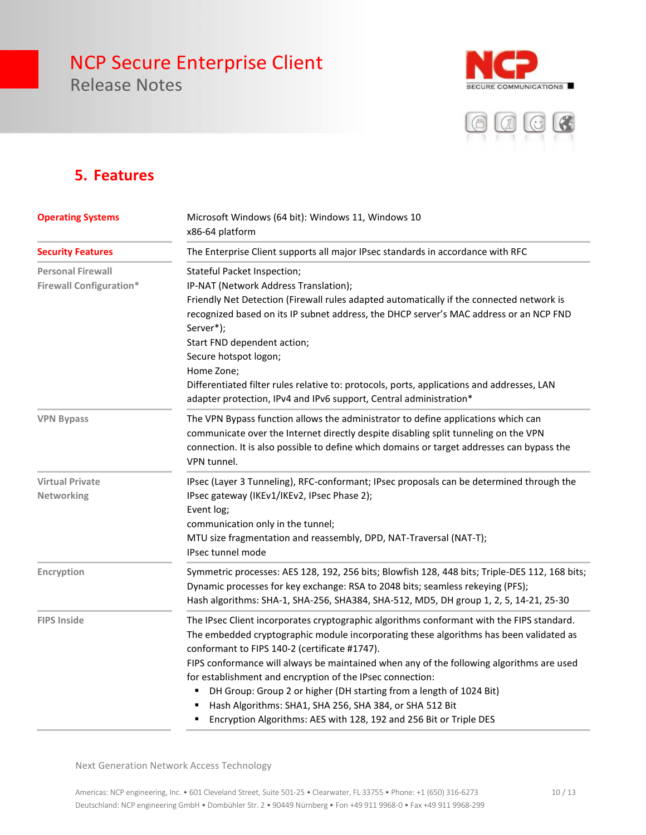Release Notes





### **5. Features**

| <b>Operating Systems</b><br><b>Security Features</b>       | Microsoft Windows (64 bit): Windows 11, Windows 10<br>x86-64 platform                                                                                                                                                                                                                                                                                                                                                                                                                                                                                                                                 |  |
|------------------------------------------------------------|-------------------------------------------------------------------------------------------------------------------------------------------------------------------------------------------------------------------------------------------------------------------------------------------------------------------------------------------------------------------------------------------------------------------------------------------------------------------------------------------------------------------------------------------------------------------------------------------------------|--|
|                                                            | The Enterprise Client supports all major IPsec standards in accordance with RFC                                                                                                                                                                                                                                                                                                                                                                                                                                                                                                                       |  |
| <b>Personal Firewall</b><br><b>Firewall Configuration*</b> | Stateful Packet Inspection;<br>IP-NAT (Network Address Translation);<br>Friendly Net Detection (Firewall rules adapted automatically if the connected network is<br>recognized based on its IP subnet address, the DHCP server's MAC address or an NCP FND<br>Server*);<br>Start FND dependent action;<br>Secure hotspot logon;<br>Home Zone;<br>Differentiated filter rules relative to: protocols, ports, applications and addresses, LAN<br>adapter protection, IPv4 and IPv6 support, Central administration*                                                                                     |  |
| <b>VPN Bypass</b>                                          | The VPN Bypass function allows the administrator to define applications which can<br>communicate over the Internet directly despite disabling split tunneling on the VPN<br>connection. It is also possible to define which domains or target addresses can bypass the<br>VPN tunnel.                                                                                                                                                                                                                                                                                                                 |  |
| <b>Virtual Private</b><br>Networking                       | IPsec (Layer 3 Tunneling), RFC-conformant; IPsec proposals can be determined through the<br>IPsec gateway (IKEv1/IKEv2, IPsec Phase 2);<br>Event log;<br>communication only in the tunnel;<br>MTU size fragmentation and reassembly, DPD, NAT-Traversal (NAT-T);<br>IPsec tunnel mode                                                                                                                                                                                                                                                                                                                 |  |
| Encryption                                                 | Symmetric processes: AES 128, 192, 256 bits; Blowfish 128, 448 bits; Triple-DES 112, 168 bits;<br>Dynamic processes for key exchange: RSA to 2048 bits; seamless rekeying (PFS);<br>Hash algorithms: SHA-1, SHA-256, SHA384, SHA-512, MD5, DH group 1, 2, 5, 14-21, 25-30                                                                                                                                                                                                                                                                                                                             |  |
| <b>FIPS Inside</b>                                         | The IPsec Client incorporates cryptographic algorithms conformant with the FIPS standard.<br>The embedded cryptographic module incorporating these algorithms has been validated as<br>conformant to FIPS 140-2 (certificate #1747).<br>FIPS conformance will always be maintained when any of the following algorithms are used<br>for establishment and encryption of the IPsec connection:<br>DH Group: Group 2 or higher (DH starting from a length of 1024 Bit)<br>Hash Algorithms: SHA1, SHA 256, SHA 384, or SHA 512 Bit<br>Encryption Algorithms: AES with 128, 192 and 256 Bit or Triple DES |  |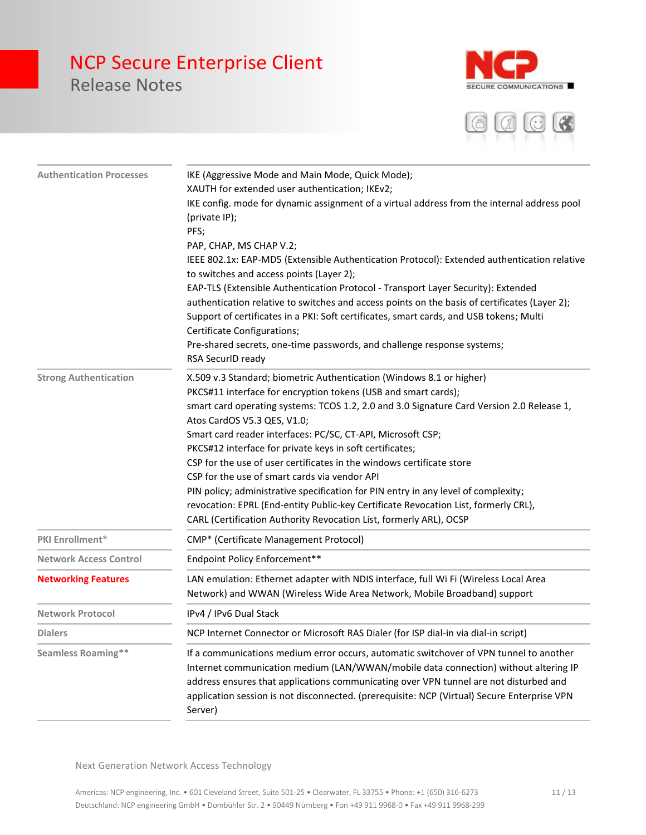## NCP Secure Enterprise Client Release Notes



E

| <b>Authentication Processes</b> | IKE (Aggressive Mode and Main Mode, Quick Mode);<br>XAUTH for extended user authentication; IKEv2;                                                                                                                                                                                                                                                                               |
|---------------------------------|----------------------------------------------------------------------------------------------------------------------------------------------------------------------------------------------------------------------------------------------------------------------------------------------------------------------------------------------------------------------------------|
|                                 | IKE config. mode for dynamic assignment of a virtual address from the internal address pool<br>(private IP);                                                                                                                                                                                                                                                                     |
|                                 | PFS;                                                                                                                                                                                                                                                                                                                                                                             |
|                                 | PAP, CHAP, MS CHAP V.2;                                                                                                                                                                                                                                                                                                                                                          |
|                                 | IEEE 802.1x: EAP-MD5 (Extensible Authentication Protocol): Extended authentication relative                                                                                                                                                                                                                                                                                      |
|                                 | to switches and access points (Layer 2);                                                                                                                                                                                                                                                                                                                                         |
|                                 | EAP-TLS (Extensible Authentication Protocol - Transport Layer Security): Extended                                                                                                                                                                                                                                                                                                |
|                                 | authentication relative to switches and access points on the basis of certificates (Layer 2);                                                                                                                                                                                                                                                                                    |
|                                 | Support of certificates in a PKI: Soft certificates, smart cards, and USB tokens; Multi                                                                                                                                                                                                                                                                                          |
|                                 | Certificate Configurations;                                                                                                                                                                                                                                                                                                                                                      |
|                                 | Pre-shared secrets, one-time passwords, and challenge response systems;<br>RSA SecurID ready                                                                                                                                                                                                                                                                                     |
| <b>Strong Authentication</b>    | X.509 v.3 Standard; biometric Authentication (Windows 8.1 or higher)                                                                                                                                                                                                                                                                                                             |
|                                 | PKCS#11 interface for encryption tokens (USB and smart cards);                                                                                                                                                                                                                                                                                                                   |
|                                 | smart card operating systems: TCOS 1.2, 2.0 and 3.0 Signature Card Version 2.0 Release 1,                                                                                                                                                                                                                                                                                        |
|                                 | Atos CardOS V5.3 QES, V1.0;                                                                                                                                                                                                                                                                                                                                                      |
|                                 | Smart card reader interfaces: PC/SC, CT-API, Microsoft CSP;                                                                                                                                                                                                                                                                                                                      |
|                                 | PKCS#12 interface for private keys in soft certificates;                                                                                                                                                                                                                                                                                                                         |
|                                 | CSP for the use of user certificates in the windows certificate store                                                                                                                                                                                                                                                                                                            |
|                                 | CSP for the use of smart cards via vendor API                                                                                                                                                                                                                                                                                                                                    |
|                                 | PIN policy; administrative specification for PIN entry in any level of complexity;                                                                                                                                                                                                                                                                                               |
|                                 | revocation: EPRL (End-entity Public-key Certificate Revocation List, formerly CRL),<br>CARL (Certification Authority Revocation List, formerly ARL), OCSP                                                                                                                                                                                                                        |
| PKI Enrollment*                 | CMP* (Certificate Management Protocol)                                                                                                                                                                                                                                                                                                                                           |
| <b>Network Access Control</b>   | Endpoint Policy Enforcement**                                                                                                                                                                                                                                                                                                                                                    |
| <b>Networking Features</b>      | LAN emulation: Ethernet adapter with NDIS interface, full Wi Fi (Wireless Local Area<br>Network) and WWAN (Wireless Wide Area Network, Mobile Broadband) support                                                                                                                                                                                                                 |
| <b>Network Protocol</b>         | IPv4 / IPv6 Dual Stack                                                                                                                                                                                                                                                                                                                                                           |
| <b>Dialers</b>                  | NCP Internet Connector or Microsoft RAS Dialer (for ISP dial-in via dial-in script)                                                                                                                                                                                                                                                                                              |
| <b>Seamless Roaming**</b>       | If a communications medium error occurs, automatic switchover of VPN tunnel to another<br>Internet communication medium (LAN/WWAN/mobile data connection) without altering IP<br>address ensures that applications communicating over VPN tunnel are not disturbed and<br>application session is not disconnected. (prerequisite: NCP (Virtual) Secure Enterprise VPN<br>Server) |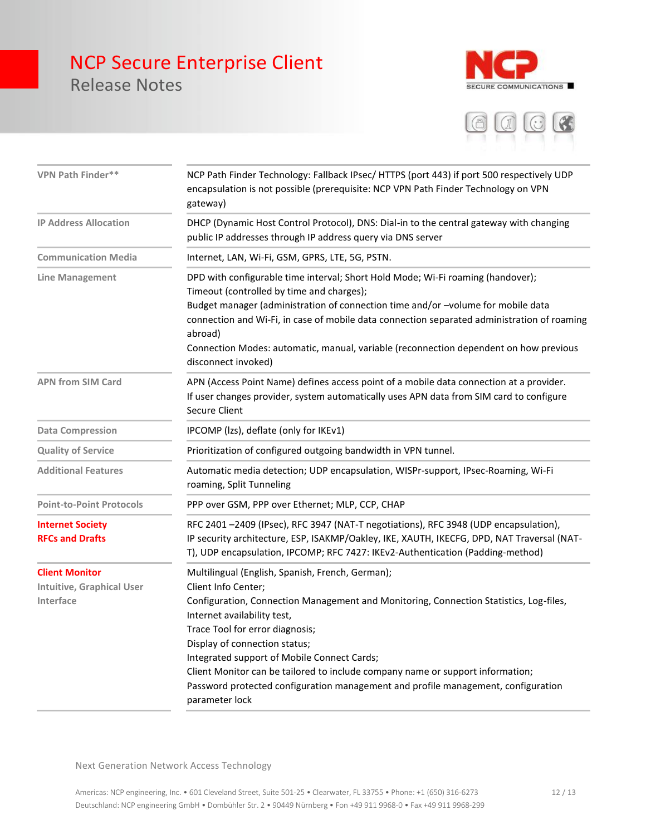## NCP Secure Enterprise Client Release Notes





| VPN Path Finder**                                                      | NCP Path Finder Technology: Fallback IPsec/HTTPS (port 443) if port 500 respectively UDP<br>encapsulation is not possible (prerequisite: NCP VPN Path Finder Technology on VPN<br>gateway)                                                                                                                                                                                                                                                                                                                   |
|------------------------------------------------------------------------|--------------------------------------------------------------------------------------------------------------------------------------------------------------------------------------------------------------------------------------------------------------------------------------------------------------------------------------------------------------------------------------------------------------------------------------------------------------------------------------------------------------|
| <b>IP Address Allocation</b>                                           | DHCP (Dynamic Host Control Protocol), DNS: Dial-in to the central gateway with changing<br>public IP addresses through IP address query via DNS server                                                                                                                                                                                                                                                                                                                                                       |
| <b>Communication Media</b>                                             | Internet, LAN, Wi-Fi, GSM, GPRS, LTE, 5G, PSTN.                                                                                                                                                                                                                                                                                                                                                                                                                                                              |
| Line Management                                                        | DPD with configurable time interval; Short Hold Mode; Wi-Fi roaming (handover);<br>Timeout (controlled by time and charges);<br>Budget manager (administration of connection time and/or -volume for mobile data<br>connection and Wi-Fi, in case of mobile data connection separated administration of roaming<br>abroad)<br>Connection Modes: automatic, manual, variable (reconnection dependent on how previous<br>disconnect invoked)                                                                   |
| <b>APN from SIM Card</b>                                               | APN (Access Point Name) defines access point of a mobile data connection at a provider.<br>If user changes provider, system automatically uses APN data from SIM card to configure<br>Secure Client                                                                                                                                                                                                                                                                                                          |
| <b>Data Compression</b>                                                | IPCOMP (Izs), deflate (only for IKEv1)                                                                                                                                                                                                                                                                                                                                                                                                                                                                       |
| <b>Quality of Service</b>                                              | Prioritization of configured outgoing bandwidth in VPN tunnel.                                                                                                                                                                                                                                                                                                                                                                                                                                               |
| <b>Additional Features</b>                                             | Automatic media detection; UDP encapsulation, WISPr-support, IPsec-Roaming, Wi-Fi<br>roaming, Split Tunneling                                                                                                                                                                                                                                                                                                                                                                                                |
| <b>Point-to-Point Protocols</b>                                        | PPP over GSM, PPP over Ethernet; MLP, CCP, CHAP                                                                                                                                                                                                                                                                                                                                                                                                                                                              |
| <b>Internet Society</b><br><b>RFCs and Drafts</b>                      | RFC 2401 -2409 (IPsec), RFC 3947 (NAT-T negotiations), RFC 3948 (UDP encapsulation),<br>IP security architecture, ESP, ISAKMP/Oakley, IKE, XAUTH, IKECFG, DPD, NAT Traversal (NAT-<br>T), UDP encapsulation, IPCOMP; RFC 7427: IKEv2-Authentication (Padding-method)                                                                                                                                                                                                                                         |
| <b>Client Monitor</b><br><b>Intuitive, Graphical User</b><br>Interface | Multilingual (English, Spanish, French, German);<br>Client Info Center;<br>Configuration, Connection Management and Monitoring, Connection Statistics, Log-files,<br>Internet availability test,<br>Trace Tool for error diagnosis;<br>Display of connection status;<br>Integrated support of Mobile Connect Cards;<br>Client Monitor can be tailored to include company name or support information;<br>Password protected configuration management and profile management, configuration<br>parameter lock |